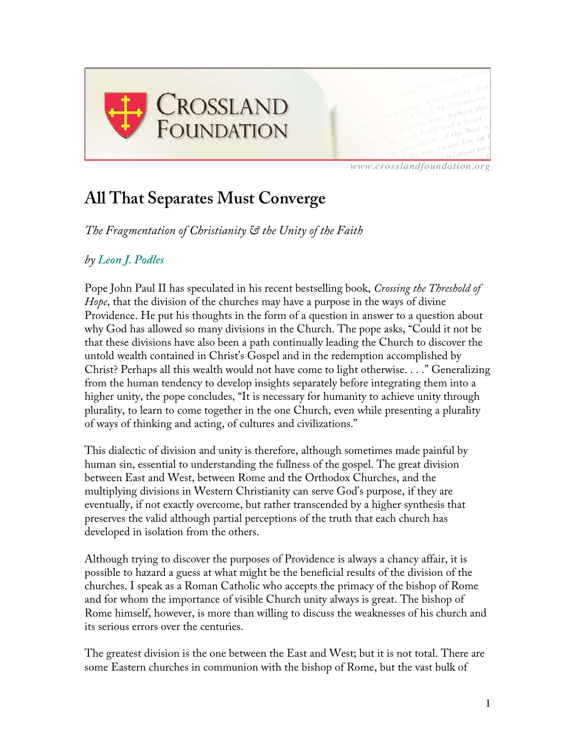

*www.crosslandfoundation.org*

## **All That Separates Must Converge**

*The Fragmentation of Christianity & the Unity of the Faith*

## *by Leon J. Podles*

Pope John Paul II has speculated in his recent bestselling book, *Crossing the Threshold of Hope*, that the division of the churches may have a purpose in the ways of divine Providence. He put his thoughts in the form of a question in answer to a question about why God has allowed so many divisions in the Church. The pope asks, "Could it not be that these divisions have also been a path continually leading the Church to discover the untold wealth contained in Christ's Gospel and in the redemption accomplished by Christ? Perhaps all this wealth would not have come to light otherwise. . . ." Generalizing from the human tendency to develop insights separately before integrating them into a higher unity, the pope concludes, "It is necessary for humanity to achieve unity through plurality, to learn to come together in the one Church, even while presenting a plurality of ways of thinking and acting, of cultures and civilizations."

This dialectic of division and unity is therefore, although sometimes made painful by human sin, essential to understanding the fullness of the gospel. The great division between East and West, between Rome and the Orthodox Churches, and the multiplying divisions in Western Christianity can serve God's purpose, if they are eventually, if not exactly overcome, but rather transcended by a higher synthesis that preserves the valid although partial perceptions of the truth that each church has developed in isolation from the others.

Although trying to discover the purposes of Providence is always a chancy affair, it is possible to hazard a guess at what might be the beneficial results of the division of the churches. I speak as a Roman Catholic who accepts the primacy of the bishop of Rome and for whom the importance of visible Church unity always is great. The bishop of Rome himself, however, is more than willing to discuss the weaknesses of his church and its serious errors over the centuries.

The greatest division is the one between the East and West; but it is not total. There are some Eastern churches in communion with the bishop of Rome, but the vast bulk of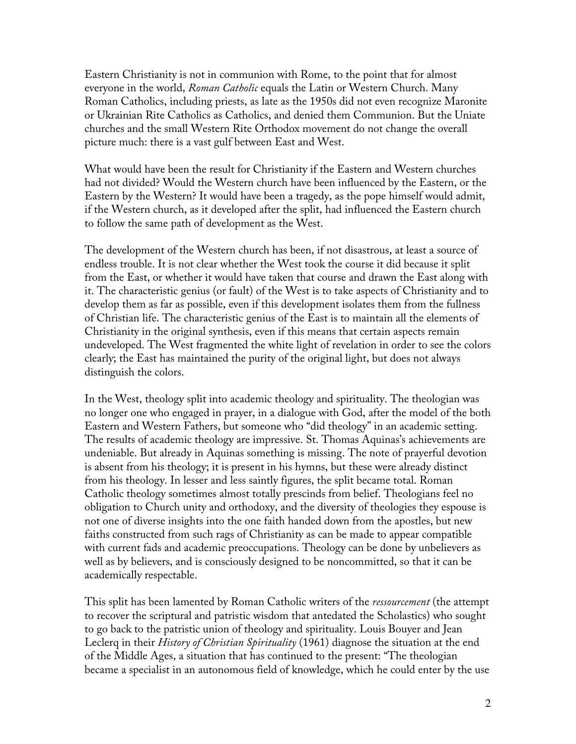Eastern Christianity is not in communion with Rome, to the point that for almost everyone in the world, *Roman Catholic* equals the Latin or Western Church. Many Roman Catholics, including priests, as late as the 1950s did not even recognize Maronite or Ukrainian Rite Catholics as Catholics, and denied them Communion. But the Uniate churches and the small Western Rite Orthodox movement do not change the overall picture much: there is a vast gulf between East and West.

What would have been the result for Christianity if the Eastern and Western churches had not divided? Would the Western church have been influenced by the Eastern, or the Eastern by the Western? It would have been a tragedy, as the pope himself would admit, if the Western church, as it developed after the split, had influenced the Eastern church to follow the same path of development as the West.

The development of the Western church has been, if not disastrous, at least a source of endless trouble. It is not clear whether the West took the course it did because it split from the East, or whether it would have taken that course and drawn the East along with it. The characteristic genius (or fault) of the West is to take aspects of Christianity and to develop them as far as possible, even if this development isolates them from the fullness of Christian life. The characteristic genius of the East is to maintain all the elements of Christianity in the original synthesis, even if this means that certain aspects remain undeveloped. The West fragmented the white light of revelation in order to see the colors clearly; the East has maintained the purity of the original light, but does not always distinguish the colors.

In the West, theology split into academic theology and spirituality. The theologian was no longer one who engaged in prayer, in a dialogue with God, after the model of the both Eastern and Western Fathers, but someone who "did theology" in an academic setting. The results of academic theology are impressive. St. Thomas Aquinas's achievements are undeniable. But already in Aquinas something is missing. The note of prayerful devotion is absent from his theology; it is present in his hymns, but these were already distinct from his theology. In lesser and less saintly figures, the split became total. Roman Catholic theology sometimes almost totally prescinds from belief. Theologians feel no obligation to Church unity and orthodoxy, and the diversity of theologies they espouse is not one of diverse insights into the one faith handed down from the apostles, but new faiths constructed from such rags of Christianity as can be made to appear compatible with current fads and academic preoccupations. Theology can be done by unbelievers as well as by believers, and is consciously designed to be noncommitted, so that it can be academically respectable.

This split has been lamented by Roman Catholic writers of the *ressourcement* (the attempt to recover the scriptural and patristic wisdom that antedated the Scholastics) who sought to go back to the patristic union of theology and spirituality. Louis Bouyer and Jean Leclerq in their *History of Christian Spirituality* (1961) diagnose the situation at the end of the Middle Ages, a situation that has continued to the present: "The theologian became a specialist in an autonomous field of knowledge, which he could enter by the use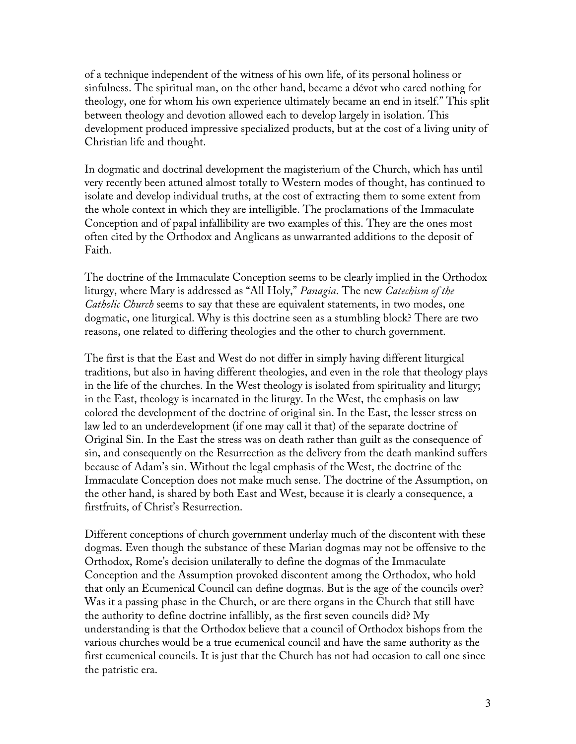of a technique independent of the witness of his own life, of its personal holiness or sinfulness. The spiritual man, on the other hand, became a dévot who cared nothing for theology, one for whom his own experience ultimately became an end in itself." This split between theology and devotion allowed each to develop largely in isolation. This development produced impressive specialized products, but at the cost of a living unity of Christian life and thought.

In dogmatic and doctrinal development the magisterium of the Church, which has until very recently been attuned almost totally to Western modes of thought, has continued to isolate and develop individual truths, at the cost of extracting them to some extent from the whole context in which they are intelligible. The proclamations of the Immaculate Conception and of papal infallibility are two examples of this. They are the ones most often cited by the Orthodox and Anglicans as unwarranted additions to the deposit of Faith.

The doctrine of the Immaculate Conception seems to be clearly implied in the Orthodox liturgy, where Mary is addressed as "All Holy," *Panagia*. The new *Catechism of the Catholic Church* seems to say that these are equivalent statements, in two modes, one dogmatic, one liturgical. Why is this doctrine seen as a stumbling block? There are two reasons, one related to differing theologies and the other to church government.

The first is that the East and West do not differ in simply having different liturgical traditions, but also in having different theologies, and even in the role that theology plays in the life of the churches. In the West theology is isolated from spirituality and liturgy; in the East, theology is incarnated in the liturgy. In the West, the emphasis on law colored the development of the doctrine of original sin. In the East, the lesser stress on law led to an underdevelopment (if one may call it that) of the separate doctrine of Original Sin. In the East the stress was on death rather than guilt as the consequence of sin, and consequently on the Resurrection as the delivery from the death mankind suffers because of Adam's sin. Without the legal emphasis of the West, the doctrine of the Immaculate Conception does not make much sense. The doctrine of the Assumption, on the other hand, is shared by both East and West, because it is clearly a consequence, a firstfruits, of Christ's Resurrection.

Different conceptions of church government underlay much of the discontent with these dogmas. Even though the substance of these Marian dogmas may not be offensive to the Orthodox, Rome's decision unilaterally to define the dogmas of the Immaculate Conception and the Assumption provoked discontent among the Orthodox, who hold that only an Ecumenical Council can define dogmas. But is the age of the councils over? Was it a passing phase in the Church, or are there organs in the Church that still have the authority to define doctrine infallibly, as the first seven councils did? My understanding is that the Orthodox believe that a council of Orthodox bishops from the various churches would be a true ecumenical council and have the same authority as the first ecumenical councils. It is just that the Church has not had occasion to call one since the patristic era.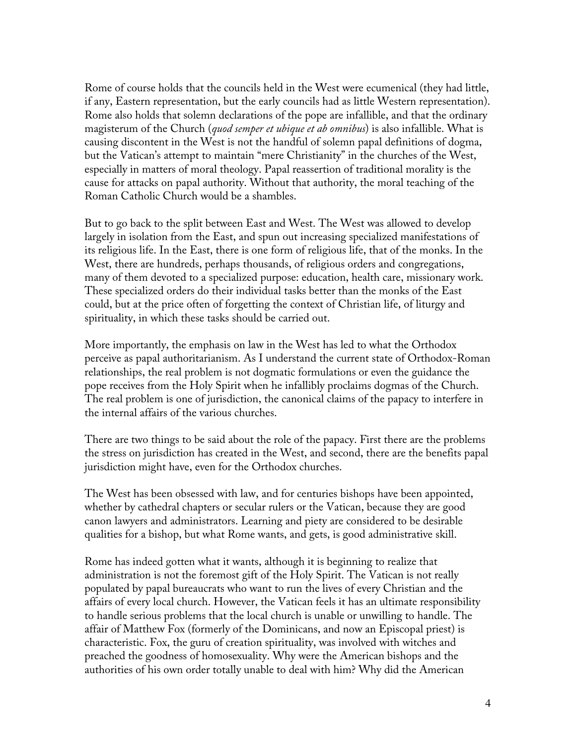Rome of course holds that the councils held in the West were ecumenical (they had little, if any, Eastern representation, but the early councils had as little Western representation). Rome also holds that solemn declarations of the pope are infallible, and that the ordinary magisterum of the Church (*quod semper et ubique et ab omnibus*) is also infallible. What is causing discontent in the West is not the handful of solemn papal definitions of dogma, but the Vatican's attempt to maintain "mere Christianity" in the churches of the West, especially in matters of moral theology. Papal reassertion of traditional morality is the cause for attacks on papal authority. Without that authority, the moral teaching of the Roman Catholic Church would be a shambles.

But to go back to the split between East and West. The West was allowed to develop largely in isolation from the East, and spun out increasing specialized manifestations of its religious life. In the East, there is one form of religious life, that of the monks. In the West, there are hundreds, perhaps thousands, of religious orders and congregations, many of them devoted to a specialized purpose: education, health care, missionary work. These specialized orders do their individual tasks better than the monks of the East could, but at the price often of forgetting the context of Christian life, of liturgy and spirituality, in which these tasks should be carried out.

More importantly, the emphasis on law in the West has led to what the Orthodox perceive as papal authoritarianism. As I understand the current state of Orthodox-Roman relationships, the real problem is not dogmatic formulations or even the guidance the pope receives from the Holy Spirit when he infallibly proclaims dogmas of the Church. The real problem is one of jurisdiction, the canonical claims of the papacy to interfere in the internal affairs of the various churches.

There are two things to be said about the role of the papacy. First there are the problems the stress on jurisdiction has created in the West, and second, there are the benefits papal jurisdiction might have, even for the Orthodox churches.

The West has been obsessed with law, and for centuries bishops have been appointed, whether by cathedral chapters or secular rulers or the Vatican, because they are good canon lawyers and administrators. Learning and piety are considered to be desirable qualities for a bishop, but what Rome wants, and gets, is good administrative skill.

Rome has indeed gotten what it wants, although it is beginning to realize that administration is not the foremost gift of the Holy Spirit. The Vatican is not really populated by papal bureaucrats who want to run the lives of every Christian and the affairs of every local church. However, the Vatican feels it has an ultimate responsibility to handle serious problems that the local church is unable or unwilling to handle. The affair of Matthew Fox (formerly of the Dominicans, and now an Episcopal priest) is characteristic. Fox, the guru of creation spirituality, was involved with witches and preached the goodness of homosexuality. Why were the American bishops and the authorities of his own order totally unable to deal with him? Why did the American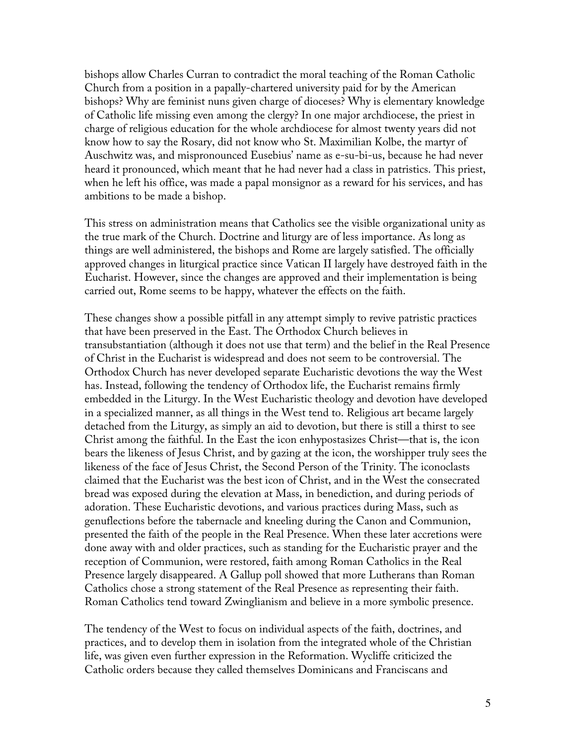bishops allow Charles Curran to contradict the moral teaching of the Roman Catholic Church from a position in a papally-chartered university paid for by the American bishops? Why are feminist nuns given charge of dioceses? Why is elementary knowledge of Catholic life missing even among the clergy? In one major archdiocese, the priest in charge of religious education for the whole archdiocese for almost twenty years did not know how to say the Rosary, did not know who St. Maximilian Kolbe, the martyr of Auschwitz was, and mispronounced Eusebius' name as e-su-bi-us, because he had never heard it pronounced, which meant that he had never had a class in patristics. This priest, when he left his office, was made a papal monsignor as a reward for his services, and has ambitions to be made a bishop.

This stress on administration means that Catholics see the visible organizational unity as the true mark of the Church. Doctrine and liturgy are of less importance. As long as things are well administered, the bishops and Rome are largely satisfied. The officially approved changes in liturgical practice since Vatican II largely have destroyed faith in the Eucharist. However, since the changes are approved and their implementation is being carried out, Rome seems to be happy, whatever the effects on the faith.

These changes show a possible pitfall in any attempt simply to revive patristic practices that have been preserved in the East. The Orthodox Church believes in transubstantiation (although it does not use that term) and the belief in the Real Presence of Christ in the Eucharist is widespread and does not seem to be controversial. The Orthodox Church has never developed separate Eucharistic devotions the way the West has. Instead, following the tendency of Orthodox life, the Eucharist remains firmly embedded in the Liturgy. In the West Eucharistic theology and devotion have developed in a specialized manner, as all things in the West tend to. Religious art became largely detached from the Liturgy, as simply an aid to devotion, but there is still a thirst to see Christ among the faithful. In the East the icon enhypostasizes Christ—that is, the icon bears the likeness of Jesus Christ, and by gazing at the icon, the worshipper truly sees the likeness of the face of Jesus Christ, the Second Person of the Trinity. The iconoclasts claimed that the Eucharist was the best icon of Christ, and in the West the consecrated bread was exposed during the elevation at Mass, in benediction, and during periods of adoration. These Eucharistic devotions, and various practices during Mass, such as genuflections before the tabernacle and kneeling during the Canon and Communion, presented the faith of the people in the Real Presence. When these later accretions were done away with and older practices, such as standing for the Eucharistic prayer and the reception of Communion, were restored, faith among Roman Catholics in the Real Presence largely disappeared. A Gallup poll showed that more Lutherans than Roman Catholics chose a strong statement of the Real Presence as representing their faith. Roman Catholics tend toward Zwinglianism and believe in a more symbolic presence.

The tendency of the West to focus on individual aspects of the faith, doctrines, and practices, and to develop them in isolation from the integrated whole of the Christian life, was given even further expression in the Reformation. Wycliffe criticized the Catholic orders because they called themselves Dominicans and Franciscans and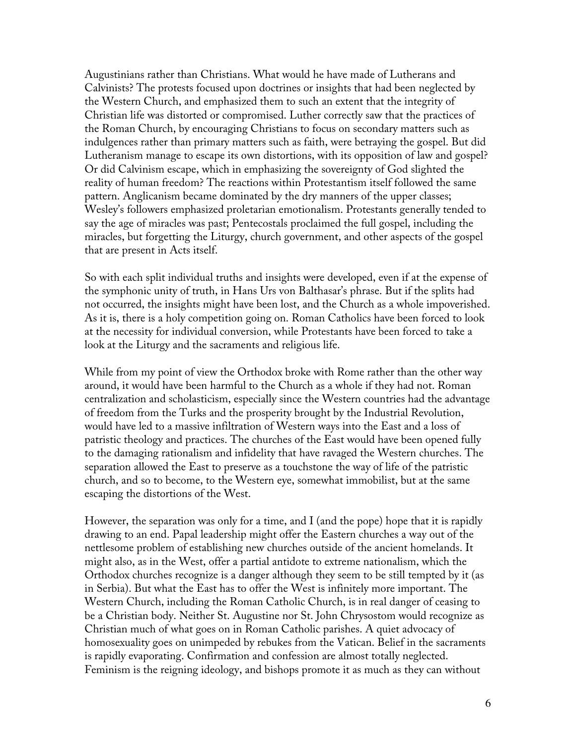Augustinians rather than Christians. What would he have made of Lutherans and Calvinists? The protests focused upon doctrines or insights that had been neglected by the Western Church, and emphasized them to such an extent that the integrity of Christian life was distorted or compromised. Luther correctly saw that the practices of the Roman Church, by encouraging Christians to focus on secondary matters such as indulgences rather than primary matters such as faith, were betraying the gospel. But did Lutheranism manage to escape its own distortions, with its opposition of law and gospel? Or did Calvinism escape, which in emphasizing the sovereignty of God slighted the reality of human freedom? The reactions within Protestantism itself followed the same pattern. Anglicanism became dominated by the dry manners of the upper classes; Wesley's followers emphasized proletarian emotionalism. Protestants generally tended to say the age of miracles was past; Pentecostals proclaimed the full gospel, including the miracles, but forgetting the Liturgy, church government, and other aspects of the gospel that are present in Acts itself.

So with each split individual truths and insights were developed, even if at the expense of the symphonic unity of truth, in Hans Urs von Balthasar's phrase. But if the splits had not occurred, the insights might have been lost, and the Church as a whole impoverished. As it is, there is a holy competition going on. Roman Catholics have been forced to look at the necessity for individual conversion, while Protestants have been forced to take a look at the Liturgy and the sacraments and religious life.

While from my point of view the Orthodox broke with Rome rather than the other way around, it would have been harmful to the Church as a whole if they had not. Roman centralization and scholasticism, especially since the Western countries had the advantage of freedom from the Turks and the prosperity brought by the Industrial Revolution, would have led to a massive infiltration of Western ways into the East and a loss of patristic theology and practices. The churches of the East would have been opened fully to the damaging rationalism and infidelity that have ravaged the Western churches. The separation allowed the East to preserve as a touchstone the way of life of the patristic church, and so to become, to the Western eye, somewhat immobilist, but at the same escaping the distortions of the West.

However, the separation was only for a time, and I (and the pope) hope that it is rapidly drawing to an end. Papal leadership might offer the Eastern churches a way out of the nettlesome problem of establishing new churches outside of the ancient homelands. It might also, as in the West, offer a partial antidote to extreme nationalism, which the Orthodox churches recognize is a danger although they seem to be still tempted by it (as in Serbia). But what the East has to offer the West is infinitely more important. The Western Church, including the Roman Catholic Church, is in real danger of ceasing to be a Christian body. Neither St. Augustine nor St. John Chrysostom would recognize as Christian much of what goes on in Roman Catholic parishes. A quiet advocacy of homosexuality goes on unimpeded by rebukes from the Vatican. Belief in the sacraments is rapidly evaporating. Confirmation and confession are almost totally neglected. Feminism is the reigning ideology, and bishops promote it as much as they can without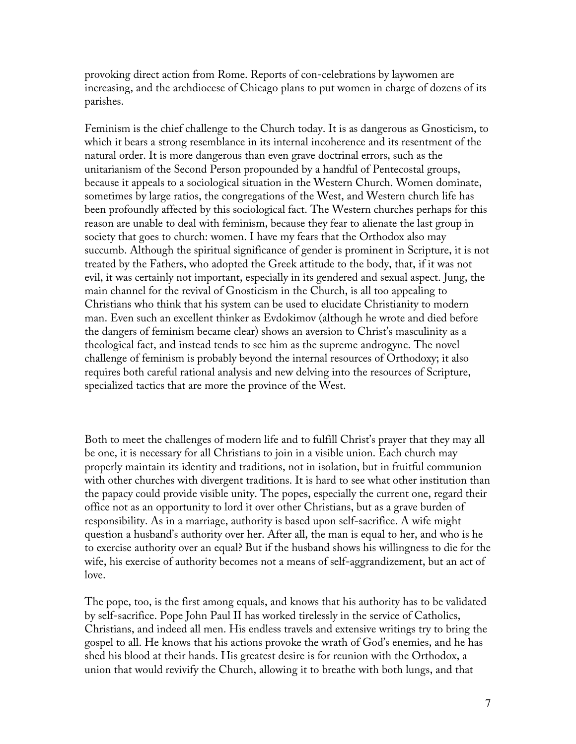provoking direct action from Rome. Reports of con-celebrations by laywomen are increasing, and the archdiocese of Chicago plans to put women in charge of dozens of its parishes.

Feminism is the chief challenge to the Church today. It is as dangerous as Gnosticism, to which it bears a strong resemblance in its internal incoherence and its resentment of the natural order. It is more dangerous than even grave doctrinal errors, such as the unitarianism of the Second Person propounded by a handful of Pentecostal groups, because it appeals to a sociological situation in the Western Church. Women dominate, sometimes by large ratios, the congregations of the West, and Western church life has been profoundly affected by this sociological fact. The Western churches perhaps for this reason are unable to deal with feminism, because they fear to alienate the last group in society that goes to church: women. I have my fears that the Orthodox also may succumb. Although the spiritual significance of gender is prominent in Scripture, it is not treated by the Fathers, who adopted the Greek attitude to the body, that, if it was not evil, it was certainly not important, especially in its gendered and sexual aspect. Jung, the main channel for the revival of Gnosticism in the Church, is all too appealing to Christians who think that his system can be used to elucidate Christianity to modern man. Even such an excellent thinker as Evdokimov (although he wrote and died before the dangers of feminism became clear) shows an aversion to Christ's masculinity as a theological fact, and instead tends to see him as the supreme androgyne. The novel challenge of feminism is probably beyond the internal resources of Orthodoxy; it also requires both careful rational analysis and new delving into the resources of Scripture, specialized tactics that are more the province of the West.

Both to meet the challenges of modern life and to fulfill Christ's prayer that they may all be one, it is necessary for all Christians to join in a visible union. Each church may properly maintain its identity and traditions, not in isolation, but in fruitful communion with other churches with divergent traditions. It is hard to see what other institution than the papacy could provide visible unity. The popes, especially the current one, regard their office not as an opportunity to lord it over other Christians, but as a grave burden of responsibility. As in a marriage, authority is based upon self-sacrifice. A wife might question a husband's authority over her. After all, the man is equal to her, and who is he to exercise authority over an equal? But if the husband shows his willingness to die for the wife, his exercise of authority becomes not a means of self-aggrandizement, but an act of love.

The pope, too, is the first among equals, and knows that his authority has to be validated by self-sacrifice. Pope John Paul II has worked tirelessly in the service of Catholics, Christians, and indeed all men. His endless travels and extensive writings try to bring the gospel to all. He knows that his actions provoke the wrath of God's enemies, and he has shed his blood at their hands. His greatest desire is for reunion with the Orthodox, a union that would revivify the Church, allowing it to breathe with both lungs, and that